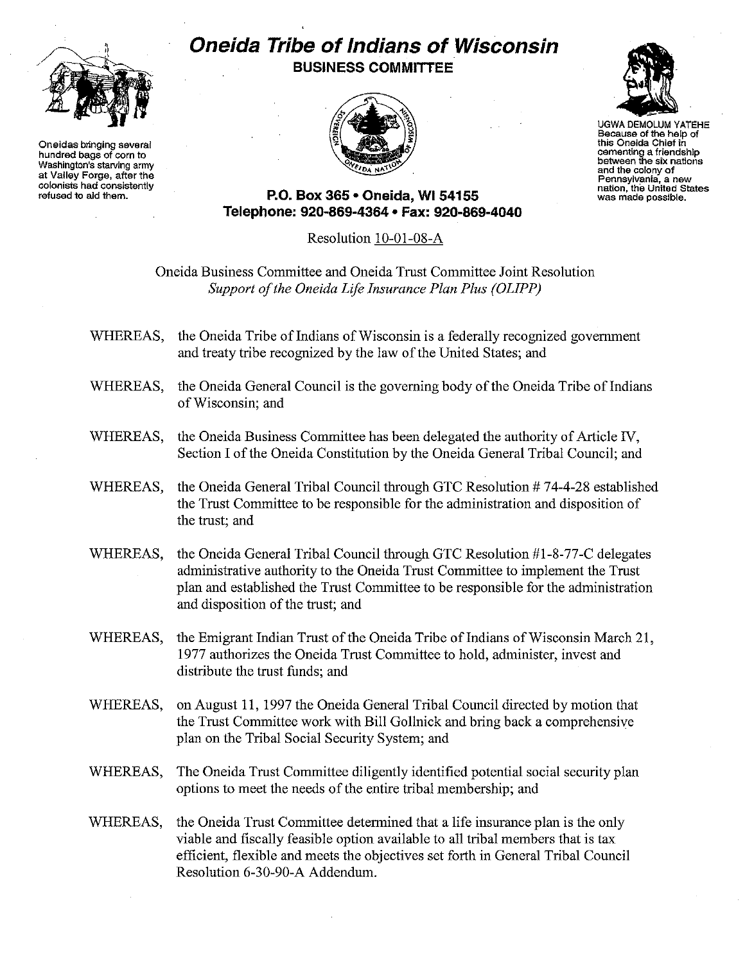

**Oneidas bringing several hundred bags of corn to Washington's starving army at Valley Forge, after the colonists had consistently refused to aid them.**

## **Oneida Tribe of Indians of Wisconsin BUSINESS COMMITTEE**





UGWA DEMOLUM YATEHE **Because of the help of this Oneida Chief in cementing a friendship between the six nations and the colony of Pennsylv:ania, a new nanon, the United States was made possible.**

**P.O. Box 365' Oneida,** WI 54155 **Telepl1one: 920-869-4364 • Fax: 920-869-4040**

Resolution IO-OI-08-A

Oneida Business Committee and Oneida Trust Committee Joint Resolution *Support a/the Oneida Life Insurance Plan Plus (OLIPP)*

- WHEREAS, the Oneida Tribe of Indians of Wisconsin is a federally recognized government and treaty tribe recognized by the law of the United States; and
- WHEREAS, the Oneida General Council is the governing body of the Oneida Tribe of Indians ofWisconsin; and
- WHEREAS, the Oneida Business Committee has been delegated the authority of Article IV, Section I of the Oneida Constitution by the Oneida General Tribal Council; and
- WHEREAS, the Oneida General Tribal Council through GTC Resolution #74-4-28 established the Trust Committee to be responsible for the administration and disposition of the trust; and
- WHEREAS, the Oneida General Tribal Council through GTC Resolution #1-8-77-C delegates administrative authority to the Oneida Trust Committee to implement the Trust plan and established the Trust Committee to be responsible for the administration and disposition of the trust; and
- WHEREAS, the Emigrant Indian Trust of the Oneida Tribe of Indians of Wisconsin March 21, 1977 authorizes the Oneida Trust Committee to hold, administer, invest and distribute the trust funds; and
- WHEREAS, on August **11,** 1997 the Oneida General Tribal Council directed by motion that the Trust Committee work with Bill Gollnick and bring back a comprehensive plan on the Tribal Social Security System; and
- WHEREAS, The Oneida Trust Committee diligently identified potential social security plan options to meet the needs of the entire tribal membership; and
- WHEREAS, the Oneida Trust Committee determined that a life insurance plan is the only viable and fiscally feasible option available to all tribal members that is tax efficient, flexible and meets the objectives set forth in General Tribal Council Resolution 6-30-90-A Addendum.